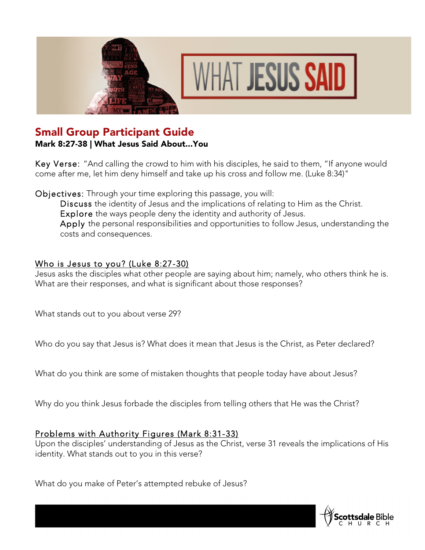



## Small Group Participant Guide

Mark 8:27-38 | What Jesus Said About...You

Key Verse: "And calling the crowd to him with his disciples, he said to them, "If anyone would come after me, let him deny himself and take up his cross and follow me. (Luke 8:34)"

Objectives: Through your time exploring this passage, you will:

Discuss the identity of Jesus and the implications of relating to Him as the Christ. Explore the ways people deny the identity and authority of Jesus. Apply the personal responsibilities and opportunities to follow Jesus, understanding the costs and consequences.

## Who is Jesus to you? (Luke 8:27-30)

Jesus asks the disciples what other people are saying about him; namely, who others think he is. What are their responses, and what is significant about those responses?

What stands out to you about verse 29?

Who do you say that Jesus is? What does it mean that Jesus is the Christ, as Peter declared?

What do you think are some of mistaken thoughts that people today have about Jesus?

Why do you think Jesus forbade the disciples from telling others that He was the Christ?

## Problems with Authority Figures (Mark 8:31-33)

Upon the disciples' understanding of Jesus as the Christ, verse 31 reveals the implications of His identity. What stands out to you in this verse?

What do you make of Peter's attempted rebuke of Jesus?